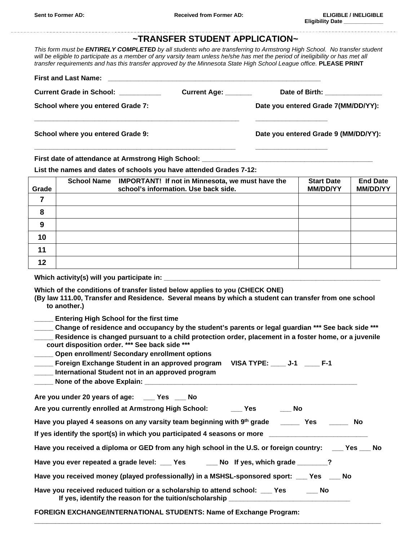## **~TRANSFER STUDENT APPLICATION~**

*This form must be ENTIRELY COMPLETED by all students who are transferring to Armstrong High School. No transfer student will be eligible to participate as a member of any varsity team unless he/she has met the period of ineligibility or has met all transfer requirements and has this transfer approved by the Minnesota State High School League office.* **PLEASE PRINT**

| <b>Current Grade in School:</b> Current Grade in School: | Current Age: _______ | Date of Birth: ______________        |
|----------------------------------------------------------|----------------------|--------------------------------------|
| School where you entered Grade 7:                        |                      | Date you entered Grade 7(MM/DD/YY):  |
| School where you entered Grade 9:                        |                      | Date you entered Grade 9 (MM/DD/YY): |
|                                                          |                      |                                      |

**First date of attendance at Armstrong High School:** 

**List the names and dates of schools you have attended Grades 7-12:**

| Grade | School Name IMPORTANT! If not in Minnesota, we must have the<br>school's information. Use back side. | <b>Start Date</b><br><b>MM/DD/YY</b> | <b>End Date</b><br><b>MM/DD/YY</b> |
|-------|------------------------------------------------------------------------------------------------------|--------------------------------------|------------------------------------|
|       |                                                                                                      |                                      |                                    |
| 8     |                                                                                                      |                                      |                                    |
| 9     |                                                                                                      |                                      |                                    |
| 10    |                                                                                                      |                                      |                                    |
| 11    |                                                                                                      |                                      |                                    |
| 12    |                                                                                                      |                                      |                                    |

**Which activity(s) will you participate in: \_\_\_\_\_\_\_\_\_\_\_\_\_\_\_\_\_\_\_\_\_\_\_\_\_\_\_\_\_\_\_\_\_\_\_\_\_\_\_\_\_\_\_\_\_\_\_\_\_\_\_\_\_\_\_\_\_**

- **Which of the conditions of transfer listed below applies to you (CHECK ONE)**
- **(By law 111.00, Transfer and Residence. Several means by which a student can transfer from one school to another.)**
- **\_\_\_\_\_ Entering High School for the first time**
- **\_\_\_\_\_ Change of residence and occupancy by the student's parents or legal guardian \*\*\* See back side \*\*\***
- **\_\_\_\_\_ Residence is changed pursuant to a child protection order, placement in a foster home, or a juvenile court disposition order. \*\*\* See back side \*\*\***
- **\_\_\_\_\_ Open enrollment/ Secondary enrollment options**
- **\_\_\_\_\_ Foreign Exchange Student in an approved program VISA TYPE: \_\_\_\_ J-1 \_\_\_\_ F-1**
- **\_\_\_\_\_ International Student not in an approved program**
- None of the above Explain:

| Are you under 20 years of age: | Yes: | <b>No</b> |
|--------------------------------|------|-----------|
|--------------------------------|------|-----------|

**Are you currently enrolled at Armstrong High School: \_\_\_ Yes \_\_\_ No**

| Have you played 4 seasons on any varsity team beginning with 9th grade | No |
|------------------------------------------------------------------------|----|
|                                                                        |    |

If yes identify the sport(s) in which you participated 4 seasons or more

| Have you received a diploma or GED from any high school in the U.S. or foreign country: ___ Yes __ No |  |  |  |  |
|-------------------------------------------------------------------------------------------------------|--|--|--|--|
|-------------------------------------------------------------------------------------------------------|--|--|--|--|

**\_\_\_\_\_\_\_\_\_\_\_\_\_\_\_\_\_\_\_\_\_\_\_\_\_\_\_\_\_\_\_\_\_\_\_\_\_\_\_\_\_\_\_\_\_\_\_\_\_\_\_\_\_\_\_\_\_\_\_\_\_\_\_\_\_\_\_\_\_\_\_\_\_\_\_\_\_\_\_\_\_\_\_**

| Have you ever repeated a grade level: | Yes | __ No If yes, which grade |  |
|---------------------------------------|-----|---------------------------|--|
|---------------------------------------|-----|---------------------------|--|

**Have you received money (played professionally) in a MSHSL-sponsored sport: \_\_\_ Yes \_\_\_ No**

| Have you received reduced tuition or a scholarship to attend school: | <b>Pres</b> | No |
|----------------------------------------------------------------------|-------------|----|
| If yes, identify the reason for the tuition/scholarship              |             |    |

**FOREIGN EXCHANGE/INTERNATIONAL STUDENTS: Name of Exchange Program:**